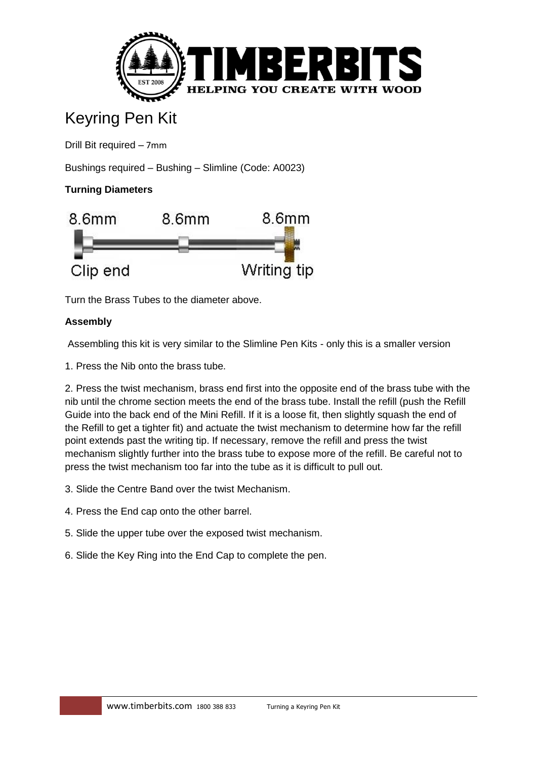

## Keyring Pen Kit

Drill Bit required – 7mm

Bushings required – Bushing – Slimline (Code: A0023)

## **Turning Diameters**



Turn the Brass Tubes to the diameter above.

## **Assembly**

Assembling this kit is very similar to the Slimline Pen Kits - only this is a smaller version

1. Press the Nib onto the brass tube.

2. Press the twist mechanism, brass end first into the opposite end of the brass tube with the nib until the chrome section meets the end of the brass tube. Install the refill (push the Refill Guide into the back end of the Mini Refill. If it is a loose fit, then slightly squash the end of the Refill to get a tighter fit) and actuate the twist mechanism to determine how far the refill point extends past the writing tip. If necessary, remove the refill and press the twist mechanism slightly further into the brass tube to expose more of the refill. Be careful not to press the twist mechanism too far into the tube as it is difficult to pull out.

- 3. Slide the Centre Band over the twist Mechanism.
- 4. Press the End cap onto the other barrel.
- 5. Slide the upper tube over the exposed twist mechanism.
- 6. Slide the Key Ring into the End Cap to complete the pen.